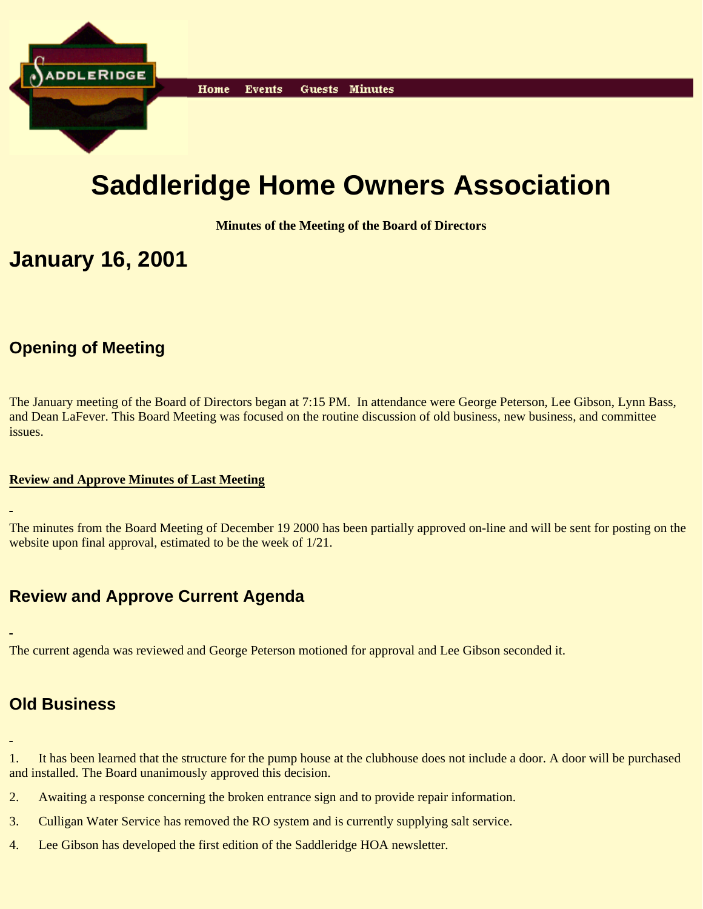

# **Saddleridge Home Owners Association**

**Minutes of the Meeting of the Board of Directors**

## **January 16, 2001**

### **Opening of Meeting**

The January meeting of the Board of Directors began at 7:15 PM. In attendance were George Peterson, Lee Gibson, Lynn Bass, and Dean LaFever. This Board Meeting was focused on the routine discussion of old business, new business, and committee issues.

#### **Review and Approve Minutes of Last Meeting**

The minutes from the Board Meeting of December 19 2000 has been partially approved on-line and will be sent for posting on the website upon final approval, estimated to be the week of 1/21.

## **Review and Approve Current Agenda**

The current agenda was reviewed and George Peterson motioned for approval and Lee Gibson seconded it.

#### **Old Business**

1. It has been learned that the structure for the pump house at the clubhouse does not include a door. A door will be purchased and installed. The Board unanimously approved this decision.

- 2. Awaiting a response concerning the broken entrance sign and to provide repair information.
- 3. Culligan Water Service has removed the RO system and is currently supplying salt service.
- 4. Lee Gibson has developed the first edition of the Saddleridge HOA newsletter.